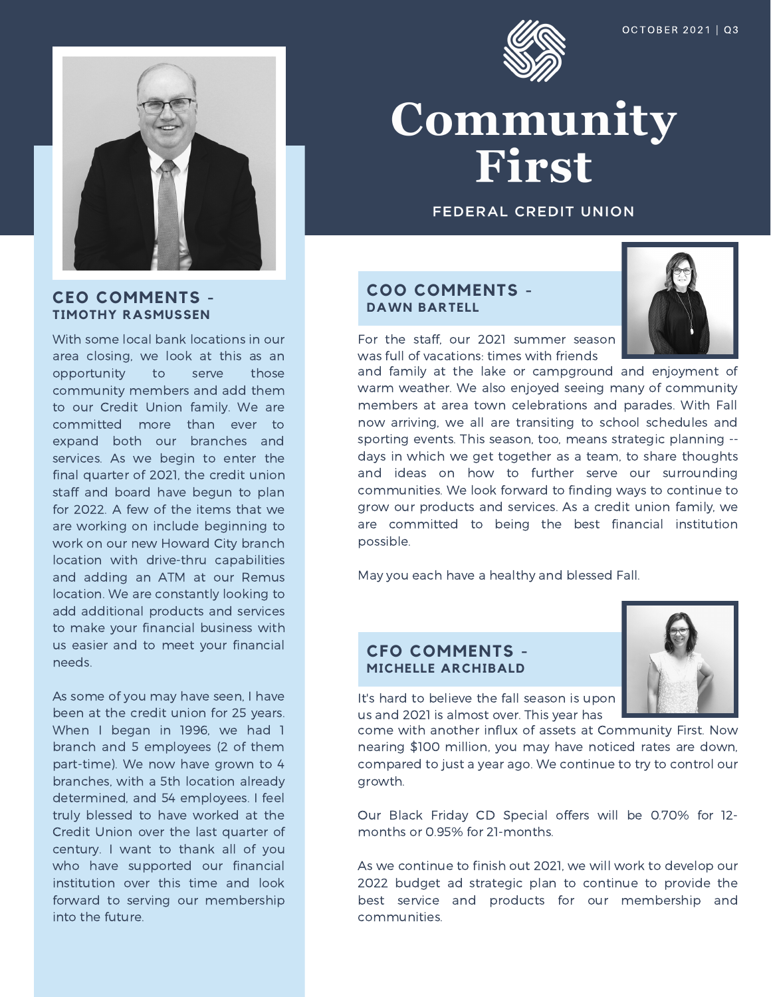

# Community First

**FEDERAL CREDIT UNION** 

# **COO COMMENTS - DAWN BARTELL**



For the staff, our 2021 summer season was full of vacations: times with friends

and family at the lake or campground and enjoyment of warm weather. We also enjoyed seeing many of community members at area town celebrations and parades. With Fall now arriving, we all are transiting to school schedules and sporting events. This season, too, means strategic planning - days in which we get together as a team, to share thoughts and ideas on how to further serve our surrounding communities. We look forward to finding ways to continue to grow our products and services. As a credit union family, we are committed to being the best financial institution possible.

May you each have a healthy and blessed Fall.

# **CFO COMMENTS - MICHELLE ARCHIBALD**



It's hard to believe the fall season is upon us and 2021 is almost over. This year has

come with another influx of assets at Community First. Now nearing \$100 million, you may have noticed rates are down, compared to just a year ago. We continue to try to control our growth.

Our Black Friday CD Special offers will be 0.70% for 12 months or 0.95% for 21-months.

As we continue to finish out 2021, we will work to develop our 2022 budget ad strategic plan to continue to provide the best service and products for our membership and communities.

**CEO COMMENTS - TIMOTHY RASMUSSEN**

With some local bank locations in our area closing, we look at this as an opportunity to serve those community members and add them to our Credit Union family. We are committed more than ever to expand both our branches and services. As we begin to enter the final quarter of 2021, the credit union staff and board have begun to plan for 2022. A few of the items that we are working on include beginning to work on our new Howard City branch location with drive-thru capabilities and adding an ATM at our Remus location. We are constantly looking to add additional products and services to make your financial business with us easier and to meet your financial needs.

As some of you may have seen, I have been at the credit union for 25 years. When I began in 1996, we had 1 branch and 5 employees (2 of them part-time). We now have grown to 4 branches, with a 5th location already determined, and 54 employees. I feel truly blessed to have worked at the Credit Union over the last quarter of century. I want to thank all of you who have supported our financial institution over this time and look forward to serving our membership into the future.